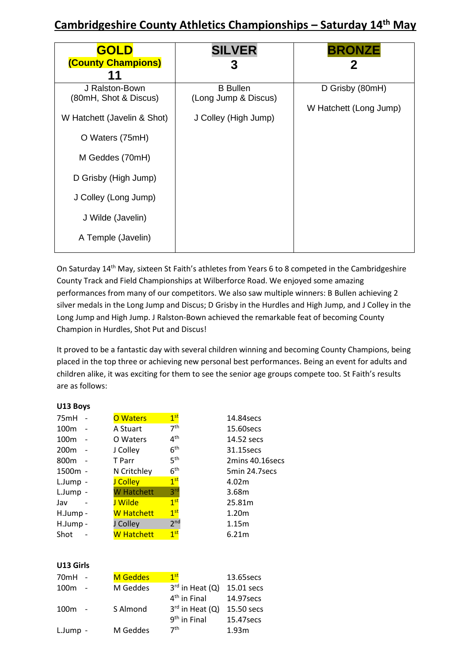## **Cambridgeshire County Athletics Championships – Saturday 14th May**

| <b>GOLD</b><br>(County Champions)<br>11                                                                                                                                                                 | <b>SILVER</b>                                                   | <b>BRONZE</b><br>2                        |
|---------------------------------------------------------------------------------------------------------------------------------------------------------------------------------------------------------|-----------------------------------------------------------------|-------------------------------------------|
| J Ralston-Bown<br>(80mH, Shot & Discus)<br>W Hatchett (Javelin & Shot)<br>O Waters (75mH)<br>M Geddes (70mH)<br>D Grisby (High Jump)<br>J Colley (Long Jump)<br>J Wilde (Javelin)<br>A Temple (Javelin) | <b>B</b> Bullen<br>(Long Jump & Discus)<br>J Colley (High Jump) | D Grisby (80mH)<br>W Hatchett (Long Jump) |

On Saturday 14<sup>th</sup> May, sixteen St Faith's athletes from Years 6 to 8 competed in the Cambridgeshire County Track and Field Championships at Wilberforce Road. We enjoyed some amazing performances from many of our competitors. We also saw multiple winners: B Bullen achieving 2 silver medals in the Long Jump and Discus; D Grisby in the Hurdles and High Jump, and J Colley in the Long Jump and High Jump. J Ralston-Bown achieved the remarkable feat of becoming County Champion in Hurdles, Shot Put and Discus!

It proved to be a fantastic day with several children winning and becoming County Champions, being placed in the top three or achieving new personal best performances. Being an event for adults and children alike, it was exciting for them to see the senior age groups compete too. St Faith's results are as follows:

## **U13 Boys**

| 75mH             | <b>O</b> Waters | 1 <sup>st</sup> | 14.84 secs        |
|------------------|-----------------|-----------------|-------------------|
| 100 <sub>m</sub> | A Stuart        | 7 <sup>th</sup> | 15.60secs         |
| 100 <sub>m</sub> | O Waters        | 4 <sup>th</sup> | 14.52 secs        |
| 200 <sub>m</sub> | J Colley        | 6 <sup>th</sup> | 31.15secs         |
| 800 <sub>m</sub> | T Parr          | 5 <sup>th</sup> | 2mins 40.16secs   |
| 1500m -          | N Critchley     | 6 <sup>th</sup> | 5min 24.7 secs    |
| L.Jump -         | J Colley        | 1 <sup>st</sup> | 4.02m             |
| L.Jump -         | W Hatchett      | 3 <sup>rd</sup> | 3.68m             |
| Jav              | J Wilde         | 1 <sup>st</sup> | 25.81m            |
| H.Jump -         | W Hatchett      | 1 <sup>st</sup> | 1.20 <sub>m</sub> |
| H.Jump -         | J Colley        | 2 <sup>nd</sup> | 1.15m             |
| Shot             | W Hatchett      | 1 <sup>st</sup> | 6.21m             |
|                  |                 |                 |                   |

## **U13 Girls**

| 70mH             | <b>M</b> Geddes | 1 <sup>st</sup>        | 13.65 secs |
|------------------|-----------------|------------------------|------------|
| 100 <sub>m</sub> | M Geddes        | $3^{rd}$ in Heat $(Q)$ | 15.01 secs |
|                  |                 | $4th$ in Final         | 14.97 secs |
| 100 <sub>m</sub> | S Almond        | $3^{rd}$ in Heat $(Q)$ | 15.50 secs |
|                  |                 | $9th$ in Final         | 15.47secs  |
| L.Jump -         | M Geddes        | 7 <sup>th</sup>        | 1.93m      |